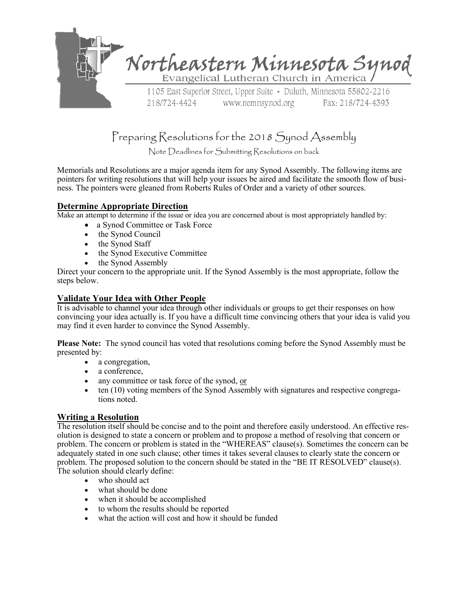

Preparing Resolutions for the 2018 Synod Assembly

Note Deadlines for Submitting Resolutions on back

Memorials and Resolutions are a major agenda item for any Synod Assembly. The following items are pointers for writing resolutions that will help your issues be aired and facilitate the smooth flow of business. The pointers were gleaned from Roberts Rules of Order and a variety of other sources.

## **Determine Appropriate Direction**

Make an attempt to determine if the issue or idea you are concerned about is most appropriately handled by:

- a Synod Committee or Task Force
- the Synod Council
- the Synod Staff
- the Synod Executive Committee
- the Synod Assembly

Direct your concern to the appropriate unit. If the Synod Assembly is the most appropriate, follow the steps below.

# **Validate Your Idea with Other People**

It is advisable to channel your idea through other individuals or groups to get their responses on how convincing your idea actually is. If you have a difficult time convincing others that your idea is valid you may find it even harder to convince the Synod Assembly.

**Please Note:** The synod council has voted that resolutions coming before the Synod Assembly must be presented by:

- a congregation,
- a conference,
- any committee or task force of the synod, or
- ten (10) voting members of the Synod Assembly with signatures and respective congregations noted.

# **Writing a Resolution**

The resolution itself should be concise and to the point and therefore easily understood. An effective resolution is designed to state a concern or problem and to propose a method of resolving that concern or problem. The concern or problem is stated in the "WHEREAS" clause(s). Sometimes the concern can be adequately stated in one such clause; other times it takes several clauses to clearly state the concern or problem. The proposed solution to the concern should be stated in the "BE IT RESOLVED" clause(s). The solution should clearly define:

- who should act
- what should be done
- when it should be accomplished
- to whom the results should be reported
- what the action will cost and how it should be funded